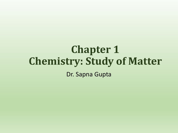# **Chapter 1 Chemistry: Study of Matter** Dr. Sapna Gupta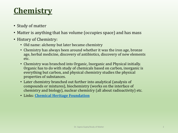## **Chemistry**

- Study of matter
- Matter is anything that has volume (occupies space) and has mass
- History of Chemistry:
	- Old name: alchemy but later became chemistry
	- Chemistry has always been around whether it was the iron age, bronze age, herbal medicine, discovery of antibiotics, discovery of new elements etc.
	- Chemistry was branched into Organic, Inorganic and Physical initially. Organic has to do with study of chemicals based on carbon, inorganic is everything but carbon, and physical chemistry studies the physical properties of substances.
	- Later chemistry branched out further into analytical (analysis of compounds or mixtures), biochemistry (works on the interface of chemistry and biology), nuclear chemistry (all about radioactivity) etc.
	- Links: **[Chemical Heritage Foundation](http://www.chemheritage.org/discover/online-resources/index.aspx)**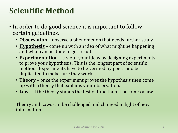### **Scientific Method**

- In order to do good science it is important to follow certain guidelines.
	- **Observation** observe a phenomenon that needs further study.
	- **Hypothesis** come up with an idea of what might be happening and what can be done to get results.
	- **Experimentation** try our your ideas by designing experiments to prove your hypothesis. This is the longest part of scientific method. Experiments have to be verified by peers and be duplicated to make sure they work.
	- **Theory** once the experiment proves the hypothesis then come up with a theory that explains your observation.
	- **Law** if the theory stands the test of time then it becomes a law.

Theory and Laws can be challenged and changed in light of new information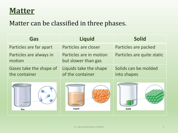### **Matter**

#### Matter can be classified in three phases.

| Gas                                      | <b>Liquid</b>                                  | <b>Solid</b>                        |
|------------------------------------------|------------------------------------------------|-------------------------------------|
| Particles are far apart                  | Particles are closer                           | Particles are packed                |
| Particles are always in<br>motion        | Particles are in motion<br>but slower than gas | Particles are quite static          |
| Gases take the shape of<br>the container | Liquids take the shape<br>of the container     | Solids can be molded<br>into shapes |
| Gas                                      | Liquid                                         | Solid                               |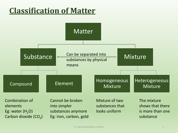### **Classification of Matter**

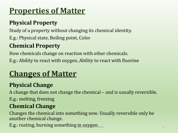## **Properties of Matter**

### **Physical Property**

Study of a property without changing its chemical identity.

E.g.: Physical state, Boiling point, Color

### **Chemical Property**

How chemicals change on reaction with other chemicals. E.g.: Ability to react with oxygen, Ability to react with fluorine

## **Changes of Matter**

### **Physical Change**

A change that does not change the chemical – and is usually reversible. E.g.: melting, freezing

#### **Chemical Change**

Changes the chemical into something new. Usually reversible only be another chemical change.

 $E.g.:$  rusting, burning something  $\lim_{s\to s}$  oxygen  $\lim_{\epsilon \to 0}$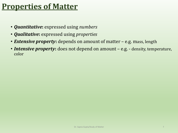### **Properties of Matter**

- *Quantitative***:** expressed using *numbers*
- *Qualitative***:** expressed using *properties*
- *Extensive property***:** depends on amount of matter e.g. mass, length
- *Intensive property***:** does not depend on amount e.g. density, temperature, color